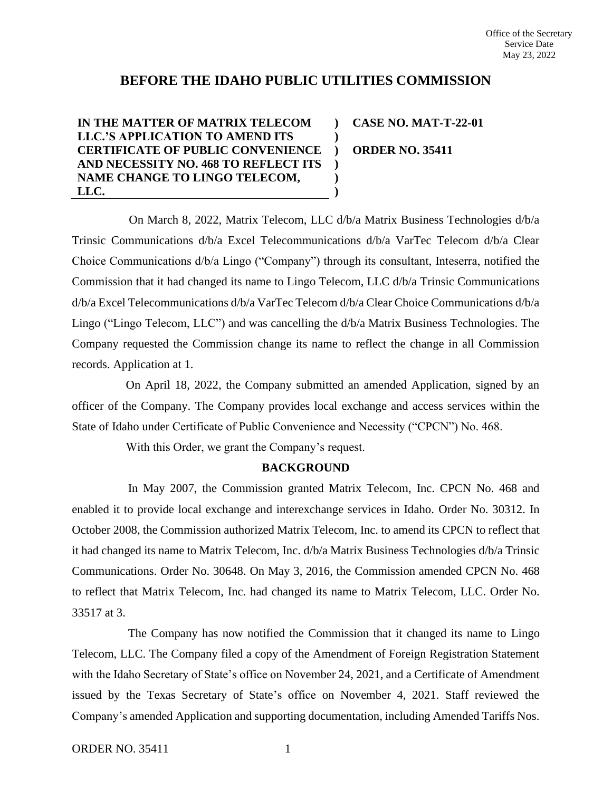# **BEFORE THE IDAHO PUBLIC UTILITIES COMMISSION**

#### **IN THE MATTER OF MATRIX TELECOM LLC.'S APPLICATION TO AMEND ITS CERTIFICATE OF PUBLIC CONVENIENCE AND NECESSITY NO. 468 TO REFLECT ITS NAME CHANGE TO LINGO TELECOM, LLC. ) ) ) ) ) )**

**CASE NO. MAT-T-22-01 ORDER NO. 35411**

On March 8, 2022, Matrix Telecom, LLC d/b/a Matrix Business Technologies d/b/a Trinsic Communications d/b/a Excel Telecommunications d/b/a VarTec Telecom d/b/a Clear Choice Communications d/b/a Lingo ("Company") through its consultant, Inteserra, notified the Commission that it had changed its name to Lingo Telecom, LLC d/b/a Trinsic Communications d/b/a Excel Telecommunications d/b/a VarTec Telecom d/b/a Clear Choice Communications d/b/a Lingo ("Lingo Telecom, LLC") and was cancelling the d/b/a Matrix Business Technologies. The Company requested the Commission change its name to reflect the change in all Commission records. Application at 1.

On April 18, 2022, the Company submitted an amended Application, signed by an officer of the Company. The Company provides local exchange and access services within the State of Idaho under Certificate of Public Convenience and Necessity ("CPCN") No. 468.

With this Order, we grant the Company's request.

### **BACKGROUND**

In May 2007, the Commission granted Matrix Telecom, Inc. CPCN No. 468 and enabled it to provide local exchange and interexchange services in Idaho. Order No. 30312. In October 2008, the Commission authorized Matrix Telecom, Inc. to amend its CPCN to reflect that it had changed its name to Matrix Telecom, Inc. d/b/a Matrix Business Technologies d/b/a Trinsic Communications. Order No. 30648. On May 3, 2016, the Commission amended CPCN No. 468 to reflect that Matrix Telecom, Inc. had changed its name to Matrix Telecom, LLC. Order No. 33517 at 3.

The Company has now notified the Commission that it changed its name to Lingo Telecom, LLC. The Company filed a copy of the Amendment of Foreign Registration Statement with the Idaho Secretary of State's office on November 24, 2021, and a Certificate of Amendment issued by the Texas Secretary of State's office on November 4, 2021. Staff reviewed the Company's amended Application and supporting documentation, including Amended Tariffs Nos.